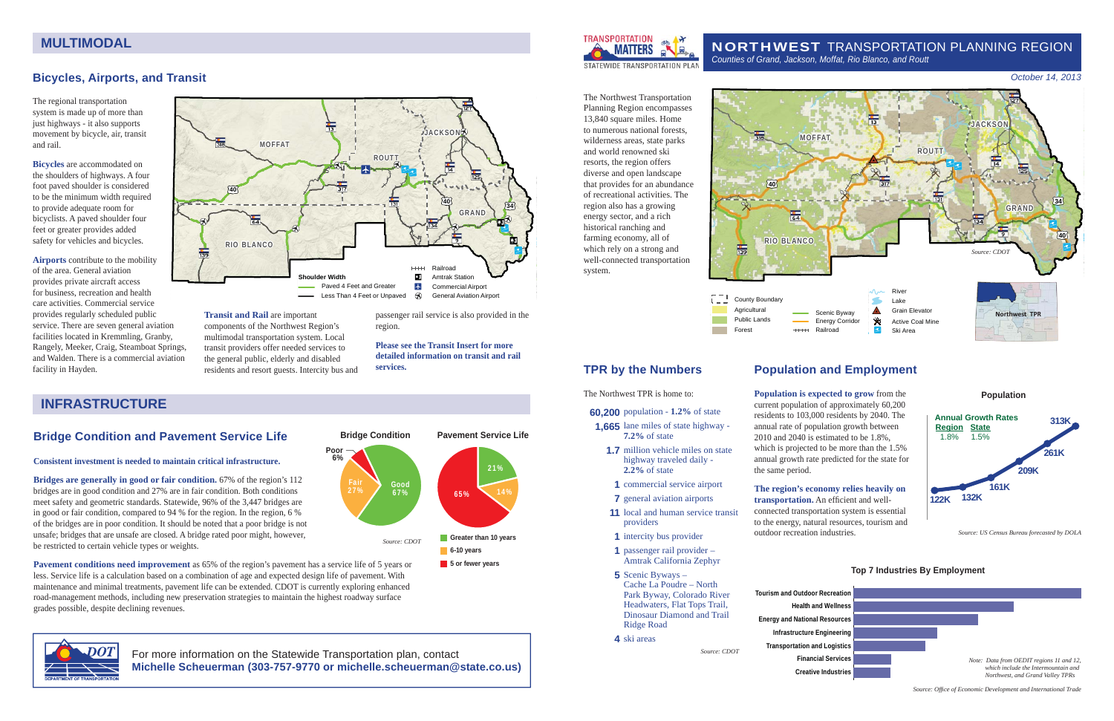



**Population**

*Source: US Census Bureau forecasted by DOLA*

The regional transportation system is made up of more than just highways - it also supports movement by bicycle, air, transit and rail.

**Bicycles** are accommodated on the shoulders of highways. A four foot paved shoulder is considered to be the minimum width required to provide adequate room for bicyclists. A paved shoulder four feet or greater provides added safety for vehicles and bicycles.

**Airports** contribute to the mobility of the area. General aviation provides private aircraft access for business, recreation and health care activities. Commercial service provides regularly scheduled public service. There are seven general aviation facilities located in Kremmling, Granby, Rangely, Meeker, Craig, Steamboat Springs, and Walden. There is a commercial aviation facility in Hayden.

**Transit and Rail** are important components of the Northwest Region's multimodal transportation system. Local transit providers offer needed services to the general public, elderly and disabled residents and resort guests. Intercity bus and passenger rail service is also provided in the region.

#### **Please see the Transit Insert for more detailed information on transit and rail services.**

### **Bridge Condition and Pavement Service Life**

#### **Consistent investment is needed to maintain critical infrastructure.**

**Bridges are generally in good or fair condition.** 67% of the region's 112 bridges are in good condition and 27% are in fair condition. Both conditions meet safety and geometric standards. Statewide, 96% of the 3,447 bridges are in good or fair condition, compared to 94 % for the region. In the region, 6 % of the bridges are in poor condition. It should be noted that a poor bridge is not unsafe; bridges that are unsafe are closed. A bridge rated poor might, however, be restricted to certain vehicle types or weights.

# **The region's economy relies heavily on transportation.** An efficient and well-



**Pavement conditions need improvement** as 65% of the region's pavement has a service life of 5 years or less. Service life is a calculation based on a combination of age and expected design life of pavement. With maintenance and minimal treatments, pavement life can be extended. CDOT is currently exploring enhanced road-management methods, including new preservation strategies to maintain the highest roadway surface grades possible, despite declining revenues.



#### NORTHWEST TRANSPORTATION PLANNING REGION *Counties of Grand, Jackson, Moffat, Rio Blanco, and Routt*

The Northwest Transportation Planning Region encompasses 13,840 square miles. Home to numerous national forests, wilderness areas, state parks and world renowned ski resorts, the region offers diverse and open landscape that provides for an abundance of recreational activities. The region also has a growing energy sector, and a rich historical ranching and farming economy, all of which rely on a strong and well-connected transportation system.

# **TPR by the Numbers**

The Northwest TPR is home to:

- **60,200** population **1.2%** of state
- **1,665** lane miles of state highway **7.2%** of state
- **1.7** million vehicle miles on state highway traveled daily - **2.2%** of state
- **1** commercial service airport
- **7** general aviation airports
- **11** local and human service transit providers
- **1** intercity bus provider  **1** passenger rail provider –
- Amtrak California Zephyr
- **5** Scenic Byways Cache La Poudre – North Park Byway, Colorado River Headwaters, Flat Tops Trail, Dinosaur Diamond and Trail Ridge Road

 **4** ski areas

*Source: CDOT*

# **MULTIMODAL**

#### *October 14, 2013*

# **Population and Employment**

**Population is expected to grow** from the current population of approximately 60,200 residents to 103,000 residents by 2040. The annual rate of population growth between 2010 and 2040 is estimated to be 1.8%, which is projected to be more than the 1.5% annual growth rate predicted for the state for the same period.

connected transportation system is essential to the energy, natural resources, tourism and outdoor recreation industries.

#### **Top 7 Industries By Employment**

- **Tourism and Outdoor RecreationEnergy and National Resources Infrastructure Engineering Transportation and Logistics**
	-

*Source: Offi ce of Economic Development and International Trade*

For more information on the Statewide Transportation plan, contact **Michelle Scheuerman (303-757-9770 or michelle.scheuerman@state.co.us)**







# **INFRASTRUCTURE**

Good 67%Fair27%**Poor 6%Bridge Condition Greater than 10 years 6-10 years** 21%65% 14% **Pavement Service Life***Source: CDOT*

**5 or fewer years** 

# **Bicycles, Airports, and Transit**